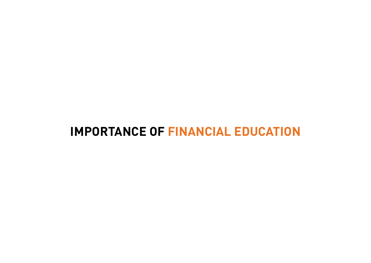# **IMPORTANCE OF FINANCIAL EDUCATION**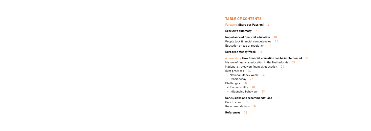# **Table of contents**

Foreword **Share our Passion!** 4

**Executive summary** 7

**Importance of financial education** 10 People lack financial competencies 11 Education on top of regulation 14

**European Money Week** 18

### A case study **How financial education can be implemented** 21

History of financial education in the Netherlands 22 National strategy on financial education 24 Best practices 26

- National Money Week 26
- Pension3day 27
- Challenges 28
- Responsibility 28
- Influencing behaviour 29

### **Conclusions and recommendations** 31

- Conclusions 32
- Recommendations 34
- **References** 36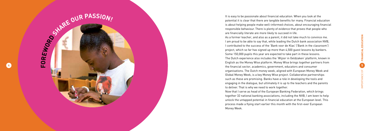

It is easy to be passionate about financial education. When you look at the potential it is clear that there are tangible benefits for many. Financial education is about helping people make well-informed choices, about encouraging financial responsible behaviour. There is plenty of evidence that proves that people who are financially literate are more likely to succeed in life. As a former teacher, and also as a parent, it did not take much to convince me. I am proud to be able to say that, while leading the Dutch bank association NVB, I contributed to the success of the 'Bank voor de Klas' ('Bank in the classroom') project, which so far has signed up more than 4,500 guest lessons by bankers. Some 150,000 pupils this year are expected to take part in these lessons. The Dutch experience also includes the 'Wijzer in Geldzaken' platform, known in English as the Money Wise platform. Money Wise brings together partners from the financial sector, academics, government, educators and consumer organisations. The Dutch money week, aligned with European Money Week and Global Money Week, is a key Money Wise project. Collaborative partnerships such as these are promising. Banks have a role in developing the tools and engaging in the dialogue, but ultimately it is up to the teachers and the parents to deliver. That is why we need to work together. Now that I serve as head of the European Banking Federation, which brings together 32 national banking associations, including the NVB, I am keen to help unlock the untapped potential in financial education at the European level. This process made a flying start earlier this month with the first-ever European Money Week.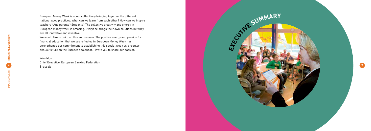European Money Week is about collectively bringing together the different national good practices. What can we learn from each other? How can we inspire teachers? And parents? Students? The collective creativity and energy in European Money Week is amazing. Everyone brings their own solutions but they are all innovative and inventive.



We would like to build on this enthusiasm. The positive energy and passion for financial education that we see reflected in European Money Week has strengthened our commitment to establishing this special week as a regular, annual fixture on the European calendar. I invite you to share our passion.

Wim Mijs Chief Executive, European Banking Federation Brussels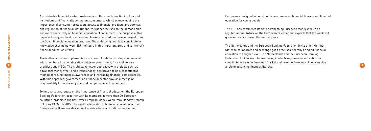**9**

A sustainable financial system rests on two pillars: well-functioning financial institutions and financially competent consumers. Whilst acknowledging the importance of consumer protection, access to financial products and services and regulation of financial institutions, this paper focuses on the demand side, and more specifically on financial education of consumers. The purpose of this paper is to suggest best practices and lessons learned that have emerged from the Dutch financial education program. The underlying goal is to contribute to knowledge sharing between EU members in this important area and to intensify financial education efforts.

The Netherlands has implemented a successful national strategy on financial education based on collaboration between government, financial service providers and NGOs. The multi stakeholder approach, with projects such as a National Money Week and a Pension3day, has proven to be a cost effective method of raising financial awareness and increasing financial competencies. With this approach, government and financial sector have assumed joint responsibility for increasing financial competencies of consumers.

To help raise awareness on the importance of financial education, the European Banking Federation, together with its members in more than 20 European countries, organised the first-ever European Money Week from Monday 9 March to Friday 13 March 2015. The week is dedicated to financial education across Europe and will see a wide range of events – local and national as well as

European – designed to boost public awareness on financial literacy and financial education for young people.

The EBF has committed itself to establishing European Money Week as a regular, annual fixture on the European calendar and expects that the week will grow and evolve during the coming years.

The Netherlands and the European Banking Federation invite other Member States to collaborate and exchange good practises, thereby bringing financial education to a higher level. The Netherlands and the European Banking Federation look forward to discussing in which way financial education can contribute to a single European Market and how the European Union can play a role in advancing financial literacy.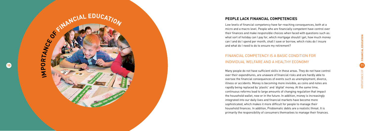

**ED U**

**<sup>C</sup>ATIO<sup>N</sup>**

**10**

# **People lack financial competencies**

**FROBRITANCE** 

Low levels of financial competency have far-reaching consequences, both at a micro and a macro level. People who are financially competent have control over their finances and make responsible choices when faced with questions such as: what sort of holiday can I pay for, which mortgage should I get, how much money can I and do I spend per month, shall I save or borrow, which risks do I insure

# and what do I need to do to ensure my retirement?<br>FINANCIAL COMPETENCY IS A BASIC CONDITION FOR individual welfare and a healthy econom y

Many people do not have sufficient skills in these areas. They do not have control over their expenditures, are unaware of financial risks and are hardly able to oversee the financial consequences of events such as unemployment, divorce, illness or accidents. Money is becoming more invisible, as coins and notes are rapidly being replaced by 'plastic' and 'digital' money. At the same time, continuous reforms lead to large amounts of changing regulation that impact the household wallet, now or in the future. In addition, money is increasingly integrated into our daily lives and financial markets have become more sophisticated, which makes it more difficult for people to manage their household finances. In addition, Problematic debts are a realistic threat. It is primarily the responsibility of consumers themselves to manage their finances.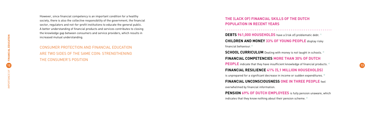# consumer protection and financial education are two sides of the same coin: strengthening THE CONSUMER'S P

However, since financial competency is an important condition for a healthy society, there is also the collective responsibility of the government, the financial sector, regulators and not-for-profit institutions to educate the general public. A better understanding of financial products and services contributes to closing the knowledge gap between consumers and service providers, which results in increased mutual understanding.

**The (lack of) financial skills of the Dutch population in RECENT YEARS**<br> **DEBTS 961,000 HOUSEHOLDS** have a (risk of) problematic debt. <sup>1)</sup> **Children and money 33% of young people** display risky financial behaviour. 2) **SCHOOL CURRICULUM** Dealing with money is not taught in schools. 3)

**12 12 people** indicate that they have insufficient knowledge of financial products.  $4$ 

# **Financial competencies More than 30% of Dutch**

**Financial resilience 41% (5,1 million households)**

is unprepared for a significant decrease in income or sudden expenditures. <sup>5)</sup>

# **Financial unconsciousness One in three people** feel

overwhelmed by financial information.

**PENSION 69% OF DUTCH EMPLOYEES** is fully pension unaware, which indicates that they know nothing about their pension scheme.  $6$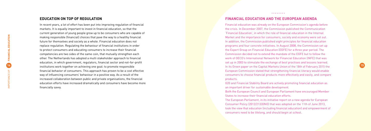**15**

# **Education on top of re gulation**

In recent years, a lot of effort has been put into improving regulation of financial markets. It is equally important to invest in financial education, so that the current generation of young people grow up to be consumers who are capable of making responsible (financial) choices that pave the way to a healthy financial future for themselves and society as a whole. Financial education does not replace regulation. Regulating the behaviour of financial institutions in order to protect consumers and educating consumers to increase their financial competencies are two sides of the same coin, that mutually strengthen each other. The Netherlands has adopted a multi stakeholder approach to financial education, in which government, regulators, financial sector and not-for-profit institutions work together on achieving one goal: to promote responsible financial behavior of consumers. This approach has proven to be a cost effective way of influencing consumers' behaviour in a positive way. As a result of the increased collaboration between public and private organisations, the financial education efforts have increased dramatically and consumers have become more financially savvy.

# . . . . . . . .

# **FINANCIAL EDUCATION AND THE EUROPEAN AGE**

Financial education was already on the European Commission's agenda before the crisis. In December 2007, the Commission published the Communication 'Financial Education', in which the role of financial education in the Internal Market and the importance for consumers, society and economy were set out. In addition, the Commission published eight principles for financial education programs and four concrete initiatives. In August 2008, the Commission set up the Expert Group on Financial Education (EGFE) for a three year period. The Commission decided not to extend the mandate of the EGFE but to follow the work of OECD's International Network for Financial Education (INFE) that was set up in 2003 to stimulate the exchange of best practises and lessons learned. In its Green paper on the Capital Markets Union of the 18th of February 2015 the European Commission stated that strengthening financial literacy would enable consumers to choose financial products more effectively and easily, and compare products.

G20 and Financial Stability Board are actively promoting financial education as an important driver for sustainable development. Both the European Council and European Parliament have encouraged Member States to increase their financial education efforts. The European Parliament, in its initiative report on a new agenda for European Consumer Policy (2012/2133(INI)) that was adopted on the 11th of June 2013, took the view that education (including financial education) and empowerment of consumers need to be lifelong, and should begin at school.

- 
- 
- 
-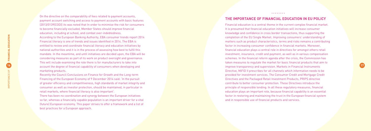

On the directive on the comparability of fees related to payment accounts, payment account switching and access to payment accounts with basic features (2013/0139(COD)) its was noted that In order to minimise the risk for consumers to become financially excluded, Member States should improve financial education, including at school, and combat over-indebtedness. According to the European Banking Authority, EBA consumer trends report 2014 Financial literacy is one of trends and issues identified in 2014. The EBA is entitled to review and coordinate financial literacy and education initiatives by national authorities and it is in the process of assessing how best to fulfil this mandate. In the meantime, and until initiatives are decided upon, the EBA will be considering measures as part of its work on product oversight and governance. This will include examining the role there is for manufacturers to take into account the degree of financial capability of consumers when developing and marketing products.

# . . . . . . . . **The importance of financial education in EU policy**

Recently the Council Conclusions on Finance for Growth and the Long-term Financing of the European Economy of 9 December 2014 said: 'In the pursuit of greater efficiency and competitiveness, high standards of market integrity and consumer as well as investor protection, should be maintained, in particular in retail markets, where financial literacy is also important'.

There has been no coordination and synergy between the European initiatives so far, whereas a financially capable population is an important driver for a vital (future) European economy. This paper strives to offer a framework and a list of best practices for a European approach.

Financial education is a central theme in the current complex financial market. It is presumed that financial education initiatives will increase consumer knowledge and confidence in cross border transactions, thus supporting the completion of the EU Single Market. Improving consumers' understanding of matters such as product characteristics, terms and risks remains a contributing factor in increasing consumer confidence in financial markets. Moreover, financial education plays a central role in directives for amongst others retail investment, insurance, credit and payment, as well as in various compensation schemes. In the financial reform agenda after the crisis, the Commission has taken measures to regulate the market for basic financial products that aim to improve transparency and supervision. Markets in Financial Instruments Directive, MiFID II prescribes for all channels which information needs to be provided for investment services. The Consumer Credit and Mortgage Credit Directives and the Packaged Retail Investment Products, PRIPS directive contribute to better consumer protection. These Directives introduce the principle of responsible lending. In all these regulatory measures, financial education plays an important role, because financial capability is an essential factor in restoring and maintaining the trust in the European financial system and in responsible use of financial products and services.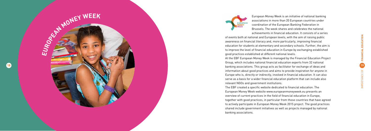**19**IMPORTANCE OF **FINANCIAL EDUCATION**





European Money Week is an initiative of national banking associations in more than 20 European countries under coordination of the European Banking Federation in Brussels. The week shares and celebrates the national achievements in financial education. It consists of a series

of events both at national and European levels, with the aim of raising public awareness on financial literacy and, more particularly, improving financial education for students at elementary and secondary schools. Further, the aim is to improve the level of financial education in Europe by exchanging established good practices established at different national levels. At the EBF European Money Week is managed by the Financial Education Project Group, which includes national financial education experts from 32 national banking associations. This group acts as facilitator for exchange of ideas and information about good practices and aims to provide inspiration for anyone in Europe who is, directly or indirectly, involved in financial education. It can also serve as a basis for a wider financial education platform that can include also relevant NGOs and government institutions. The EBF created a specific website dedicated to financial education. The European Money Week website www.europeanmoneyweek.eu presents an overview of current practices in the field of financial education in Europe, together with good practices, in particular from those countries that have agreed to actively participate in European Money Week 2015 project. The good practices shared include government initiatives as well as projects managed by national banking associations.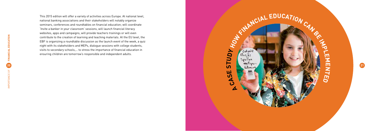This 2015 edition will offer a variety of activities across Europe. At national level, national banking associations and their stakeholders will notably organize seminars, conferences and roundtables on financial education; will coordinate 'Invite a banker in your classroom' sessions, will launch financial literacy websites, apps and campaigns, will provide teachers trainings or will even contribute to the creation of learning and teaching materials. At the EU level, the EBF is organizing a roundtable discussion as the launch event of the week, a quiz night with its stakeholders and MEPs, dialogue sessions with college students, visits to secondary schools,… to stress the importance of financial education in ensuring children are tomorrow's responsible and independent adults.





# CAN OR FEB **MENTED**

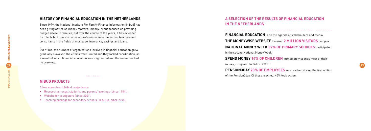# **H i story of financial education in the Netherland s**

Since 1979, the National Institute For Family Finance Information (Nibud) has been giving advice on money matters. Initially, Nibud focused on providing budget advise to families, but over the course of the years, it has extended its role. Nibud now also aims at professional intermediaries, teachers and consultants in the fields of mortgage, insurance, savings and loans.

Over time, the number of organisations involved in financial education grew gradually. However, the efforts were limited and they lacked coordination, as a result of which financial education was fragmented and the consumer had no overview.

# **Nibud pro ject s**

A few examples of Nibud projects are:

- Research amongst students and parents' evenings (since 1984).
- • Website for youngsters (since 2001).
- Teaching package for secondary schools (In & Out, since 2005).

**PENSION3DAY 20% OF EMPLOYEES** was reached during the first edition of the Pension3day. Of those reached, 40% took action.

# **SEPTINANCIAL EDUCATION**



**Financial education** is on the agenda of stakeholders and media.

**The 2 MILLION VISITORS** per year. **PRIMARY SCHOOLS** participated

**N** immediately spends most of their

| A SELECTION OF THE RESULTS O<br><b>IN THE NETHERLANDS 71</b> |
|--------------------------------------------------------------|
| <b>FINANCIAL EDUCATION</b> is on the ag                      |
| <b>THE MONEYWISE WEBSITE has over</b>                        |
| <b>NATIONAL MONEY WEEK 37% OF</b>                            |
| in the second National Money Week.                           |
| <b>SPEND MONEY 14% OF CHILDREI</b>                           |
|                                                              |

money, compared to 26% in 2008. 8)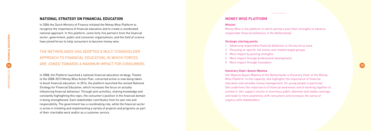# **25**

# **National strate g y on financial education**

In 2006 the Dutch Ministry of Finance initiated the Money Wise Platform to recognise the importance of financial education and to create a coordinated national approach. In this platform, some forty-five partners from the financial sector, government, public and consumer organisations, and the field of science have joined forces to help consumers to become money wise.

THE NETHERLANDS HAS ADOPTED A MULTI STAKEHOLDER APPROACH TO FINANCIAL EDUCATION, IN WHICH FORCES ARE JOINED TOWARDS A MAXIMUM IMPACT FOR CONSUMERS

- Advancing responsible financial behaviour is the key focus area.
- 2 Pocusing on specific life events and related targed groups.
- 3 More impact by pooling strengths.
- 4 More impact through professional development.
- 5 More impact through innovation.

In 2008, the Platform launched a national financial education strategy. Thanks to the 2008-2013 Money Wise Action Plan, concerted action is now being taken to boost financial education. In 2014, the platform launched the revised National Strategy for Financial Education, which increases the focus on actually influencing financial behaviour. Through joint activities, sharing knowledge and constantly highlighting this topic, the consumer's position in the financial domain is being strengthened. Each stakeholder contributes from its own role and responsibility. The government has a coordinating role, while the financial sector is active in initiating and implementing a variety of projects and programs as part of their charitable work and/or as a customer service.

# **MONEY WISE PLA**

### **Mission**

Money Wise is the platform in which partners pool their strengths to advance responsible financial behaviour in the Netherlands.

## **Strategic starting points**

## **Honorary Chair: Queen Máxima**

Her Majesty Queen Máxima of the Netherlands is Honorary Chair of the Money Wise Platform. In this capacity, she highlights the importance of financial education and sensible money management, for young people in particular. She underlines the importance of financial awareness and of working together to achieve it. Her support results in enormous public attention and media coverage, and leads to more awareness with consumers and increases the sense of urgency with stakeholders.

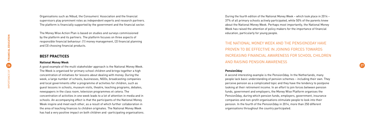Organisations such as Nibud, the Consumers' Association and the financial supervisors play prominent roles as independent experts and research partners. The platform is financially supported by the government and the financial sector.

The Money Wise Action Plan is based on studies and surveys commissioned by the platform and its partners. The platform focuses on three aspects of responsible financial behaviour: (1) money management, (2) financial planning and (3) choosing financial products.

# **Be s t practice s**

### **National Money Week**

**26 27** A good example of the multi stakeholder approach is the National Money Week. The Week is organised for primary school children and brings together a high concentration of initiatives for lessons about dealing with money. During the week, a large number of schools, businesses, NGOs, broadcasting companies and local governments offer a programme of activities for children, such as guest lessons in schools, museum visits, theatre, teaching programs, debates, newspapers in the class room, television programmes et cetera. The concentration of activities in one week leads to a lot of attention in media and in schools. An accompanying effect is that the participants of the National Money Week inspire and meet each other, as a result of which further collaboration in the area of teaching finances to children originates. The National Money Week has had a very positive impact on both children and -participating organisations.

During the fourth edition of the National Money Week – which took place in 2014 – 37% of all primary schools actively participated, while 50% of the parents knew about the National Money Week. Perhaps most importantly, the National Money Week has raised the attention of policy makers for the importance of financial education, particularly for young people.

THE NATIONAL MONE Y WEEK AND THE PENSION3DAY HAVE PROVEN TO BE EFFECTIVE IN JOINING FORCES TOWARDS INCREASING FINANCIAL AWARENESS FOR SCHOOL CHILDREN AND RAISING PENSION AWARENESS

### **Pension3day**

A second interesting example is the Pension3day. In the Netherlands, many people lack basic understanding of pension schemes – including their own. They perceive pension as a complicated topic and they have the tendency to postpone looking at their retirement income. In an effort to join forces between pension funds, government and employers, the Money Wise Platform organises the Pension3day, during which pension funds, employers, government, insurance companies and non-profit organisations stimulate people to look into their pension. In the fourth of the Pension3day in 2014, more than 250 different organisations throughout the country participated.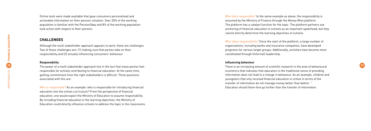Online tools were made available that gave consumers personalized and actionable information on their pension situation. Over 20% of the working population is familiar with the Pension3day and 8% of the working population took action with respect to their pension.

# **Challenges**

Although the multi stakeholder approach appears to work, there are challenges. Two of those challenges are: (1) making sure that parties take on their responsibility and (2) actually influencing consumers' behaviour.

### **Responsibility**

responsible for actively contributing to financial education. At the same time, getting commitment from the right stakeholders is difficult. Three questions associated with this are:

Who is responsible? As an example: who is responsible for introducing financial education into the school curriculum? From the perspective of financial education, one would expect the Ministry of Education to assume responsibility. By including financial education in the learning objectives, the Ministry of Education could directly influence schools to address the topic in the classrooms.

**28** There is an increasing amount of scientific research in the area of behavioural **29** There is an increasing amount of scientific research in the area of behavioural **29** There is an increasing amount of scientific res There is an increasing amount of scientific research in the area of behavioural economics that indicates that education in the traditional sense of providing information does not lead to a change in behaviour. As an example, children and youngsters that only received financial education in school in terms of the transfer of information do not manage money better than before. <sup>9]</sup> Education should there-fore go further than the transfer of information.

Who feels responsible? In the same example as above, the responsibility is assumed by the Ministry of Finance through the Money Wise platform. The platform has a catalyst function for the topic. The platform partners see anchoring of financial education in schools as an important spearhead, but they cannot directly determine the learning objectives of schools.

Who takes responsibility? Since the start of the platform, a large number of organisations, including banks and insurance companies, have developed programs for various target groups. Additionally, activities have become more coordinated through (informal) leadership.

### **Influencing behaviour**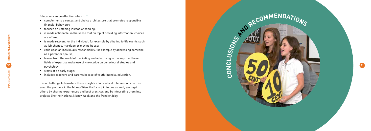Education can be effective, when it:  $10$ 

- complements a context and choice architecture that promotes responsible financial behaviour;
- • focuses on listening instead of sending;
- • is made actionable, in the sense that on top of providing information, choices are offered;
- is made relevant for the individual, for example by aligning to life events such as job change, marriage or moving house;
- • calls upon an individual's responsibility, for example by addressing someone as a parent or spouse;
- **30 31** • learns from the world of marketing and advertising in the way that these fields of expertise make use of knowledge on behavioural studies and psychology;
	- • starts at an early stage;
	- • includes teachers and parents in case of youth financial education.

It is a challenge to translate these insights into practical interventions. In this area, the partners in the Money Wise Platform join forces as well, amongst others by sharing experiences and best practices and by integrating them into projects like the National Money Week and the Pension3day.



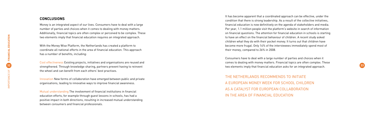# **CONCLU SION S**

Money is an integrated aspect of our lives. Consumers have to deal with a large number of parties and choices when it comes to dealing with money matters. Additionally, financial topics are often complex or perceived to be complex. These two elements imply that financial education requires an integrated approach.

With the Money Wise Platform, the Netherlands has created a platform to coordinate all national efforts in the area of financial education. This approach has a number of benefits, including:

Cost effectiveness Existing projects, initiatives and organisations are reused and the wheel and can benefit from each others' best practises.

Innovation New forms of collaboration have emerged between public and private organisations, leading to innovative ways to improve financial awareness.

**32** strengthened. Through knowledge sharing, partners prevent having to reinvent **and a strengthened.** Through knowledge sharing, partners prevent having to reinvent **and a steaded as a strengthened.** Through knowledge sh Consumers have to deal with a large number of parties and choices when it comes to dealing with money matters. Financial topics are often complex. These two elements imply that financial education asks for an integrated approach.

Mutual understanding The involvement of financial institutions in financial education efforts, for example through guest lessons in schools, has had a positive impact in both directions, resulting in increased mutual understanding between consumers and financial professionals.

It has become apparent that a coordinated approach can be effective, under the condition that there is strong leadership. As a result of the collective initiatives, financial education is now definitively on the agenda of stakeholders and media. Per year, 1.1 million people visit the platform's website in search of information on financial questions. The attention for financial education in schools is starting to have an effect on the financial behaviour of children. A recent study asked children what they do with their pocket money. It turns out that children have become more frugal. Only 14% of the interviewees immediately spend most of their money, compared to 26% in 2008.

THE NETHERLANDS RECOMMENDS TO INITIATE A EUROPEAN MONE Y WEEK FOR SCHOOL CHILDREN AS A CATALYST FOR EUROPEAN COLLABORATION IN THE AREA OF FINANCIAL EDUCATION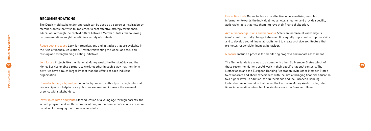# **RECOMMENDATION S**

The Dutch multi stakeholder approach can be used as a source of inspiration by Member States that wish to implement a cost effective strategy for financial education. Although the context differs between Member States, the following recommendations might be valid in a variety of contexts:

Reuse best practises Look for organisations and initiatives that are available in the field of financial education. Prevent reinventing the wheel and focus on reusing and strengthening existing initiatives.

Join forces Projects like the National Money Week, the Pension3day and the activities have a much larger impact than the efforts of each individual organisation.

Consider finding a figurehead A public figure with authority – through informal leadership – can help to raise public awareness and increase the sense of urgency with stakeholders.

Invest in children and youth Start education at a young age through parents, the school program and youth communications, so that tomorrow's adults are more capable of managing their finances as adults.

**34 35** Money Service enable partners to work together in such a way that their joint The Netherlands is anxious to discuss with other EU Member States which of these recommendations could work in their specific national contexts. The Netherlands and the European Banking Federation invite other Member States to collaborate and share experiences with the aim of bringing financial education to a higher level. In addition, the Netherlands and the European Banking Federation recommend to build upon the European Money Week to integrate financial education into school curricula across the European Union.

Use online tools Online tools can be effective in personalizing complex information towards the individual households' situation and provide specific, actionable tools that help them improve their financial situation.

Aim at knowledge, skills and behaviour Solely an increase of knowledge is insufficient to actually change behaviour. It is equally important to improve skills and to develop sound financial habits. And to create a choice architecture that promotes responsible financial behaviour.

Measure Include a process for monitoring progress and impact assessment.